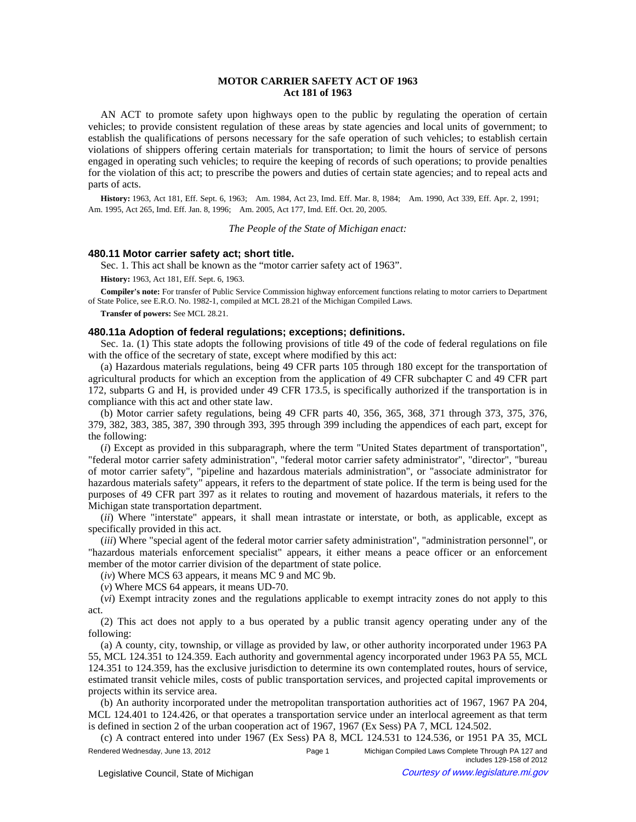# **MOTOR CARRIER SAFETY ACT OF 1963 Act 181 of 1963**

AN ACT to promote safety upon highways open to the public by regulating the operation of certain vehicles; to provide consistent regulation of these areas by state agencies and local units of government; to establish the qualifications of persons necessary for the safe operation of such vehicles; to establish certain violations of shippers offering certain materials for transportation; to limit the hours of service of persons engaged in operating such vehicles; to require the keeping of records of such operations; to provide penalties for the violation of this act; to prescribe the powers and duties of certain state agencies; and to repeal acts and parts of acts.

History: 1963, Act 181, Eff. Sept. 6, 1963;—Am. 1984, Act 23, Imd. Eff. Mar. 8, 1984;—Am. 1990, Act 339, Eff. Apr. 2, 1991;— Am. 1995, Act 265, Imd. Eff. Jan. 8, 1996;-- Am. 2005, Act 177, Imd. Eff. Oct. 20, 2005.

*The People of the State of Michigan enact:*

#### **480.11 Motor carrier safety act; short title.**

Sec. 1. This act shall be known as the "motor carrier safety act of 1963".

**History:** 1963, Act 181, Eff. Sept. 6, 1963.

**Compiler's note:** For transfer of Public Service Commission highway enforcement functions relating to motor carriers to Department of State Police, see E.R.O. No. 1982-1, compiled at MCL 28.21 of the Michigan Compiled Laws.

**Transfer of powers:** See MCL 28.21.

# **480.11a Adoption of federal regulations; exceptions; definitions.**

Sec. 1a. (1) This state adopts the following provisions of title 49 of the code of federal regulations on file with the office of the secretary of state, except where modified by this act:

(a) Hazardous materials regulations, being 49 CFR parts 105 through 180 except for the transportation of agricultural products for which an exception from the application of 49 CFR subchapter C and 49 CFR part 172, subparts G and H, is provided under 49 CFR 173.5, is specifically authorized if the transportation is in compliance with this act and other state law.

(b) Motor carrier safety regulations, being 49 CFR parts 40, 356, 365, 368, 371 through 373, 375, 376, 379, 382, 383, 385, 387, 390 through 393, 395 through 399 including the appendices of each part, except for the following:

(*i*) Except as provided in this subparagraph, where the term "United States department of transportation", "federal motor carrier safety administration", "federal motor carrier safety administrator", "director", "bureau of motor carrier safety", "pipeline and hazardous materials administration", or "associate administrator for hazardous materials safety" appears, it refers to the department of state police. If the term is being used for the purposes of 49 CFR part 397 as it relates to routing and movement of hazardous materials, it refers to the Michigan state transportation department.

(*ii*) Where "interstate" appears, it shall mean intrastate or interstate, or both, as applicable, except as specifically provided in this act.

(*iii*) Where "special agent of the federal motor carrier safety administration", "administration personnel", or "hazardous materials enforcement specialist" appears, it either means a peace officer or an enforcement member of the motor carrier division of the department of state police.

(*iv*) Where MCS 63 appears, it means MC 9 and MC 9b.

(*v*) Where MCS 64 appears, it means UD-70.

(*vi*) Exempt intracity zones and the regulations applicable to exempt intracity zones do not apply to this act.

(2) This act does not apply to a bus operated by a public transit agency operating under any of the following:

(a) A county, city, township, or village as provided by law, or other authority incorporated under 1963 PA 55, MCL 124.351 to 124.359. Each authority and governmental agency incorporated under 1963 PA 55, MCL 124.351 to 124.359, has the exclusive jurisdiction to determine its own contemplated routes, hours of service, estimated transit vehicle miles, costs of public transportation services, and projected capital improvements or projects within its service area.

(b) An authority incorporated under the metropolitan transportation authorities act of 1967, 1967 PA 204, MCL 124.401 to 124.426, or that operates a transportation service under an interlocal agreement as that term is defined in section 2 of the urban cooperation act of 1967, 1967 (Ex Sess) PA 7, MCL 124.502.

(c) A contract entered into under 1967 (Ex Sess) PA 8, MCL 124.531 to 124.536, or 1951 PA 35, MCL Rendered Wednesday, June 13, 2012 **Page 1** Page 1 Michigan Compiled Laws Complete Through PA 127 and includes 129-158 of 2012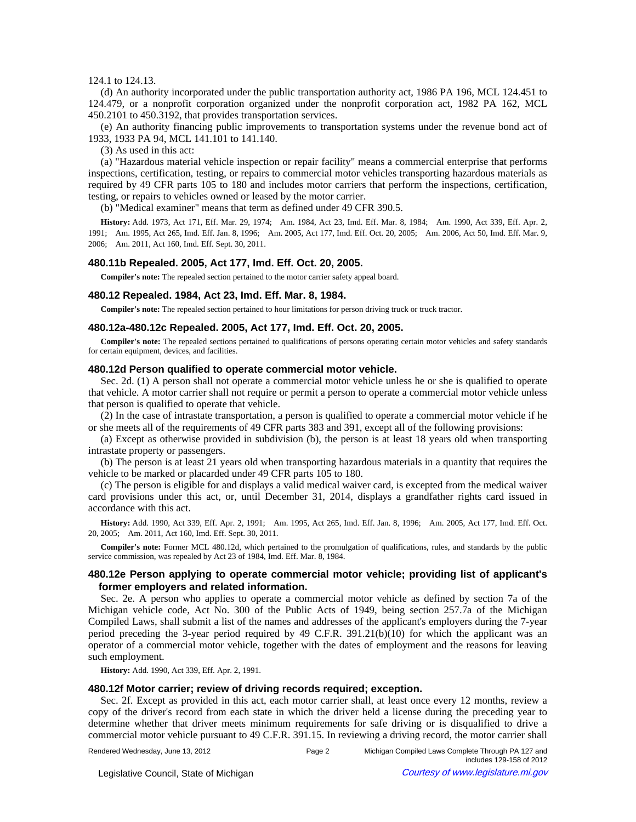## 124.1 to 124.13.

(d) An authority incorporated under the public transportation authority act, 1986 PA 196, MCL 124.451 to 124.479, or a nonprofit corporation organized under the nonprofit corporation act, 1982 PA 162, MCL 450.2101 to 450.3192, that provides transportation services.

(e) An authority financing public improvements to transportation systems under the revenue bond act of 1933, 1933 PA 94, MCL 141.101 to 141.140.

(3) As used in this act:

(a) "Hazardous material vehicle inspection or repair facility" means a commercial enterprise that performs inspections, certification, testing, or repairs to commercial motor vehicles transporting hazardous materials as required by 49 CFR parts 105 to 180 and includes motor carriers that perform the inspections, certification, testing, or repairs to vehicles owned or leased by the motor carrier.

(b) "Medical examiner" means that term as defined under 49 CFR 390.5.

History: Add. 1973, Act 171, Eff. Mar. 29, 1974;—Am. 1984, Act 23, Imd. Eff. Mar. 8, 1984;—Am. 1990, Act 339, Eff. Apr. 2, 1991;-Am. 1995, Act 265, Imd. Eff. Jan. 8, 1996;-Am. 2005, Act 177, Imd. Eff. Oct. 20, 2005;--Am. 2006, Act 50, Imd. Eff. Mar. 9, 2006; Am. 2011, Act 160, Imd. Eff. Sept. 30, 2011.

### **480.11b Repealed. 2005, Act 177, Imd. Eff. Oct. 20, 2005.**

**Compiler's note:** The repealed section pertained to the motor carrier safety appeal board.

#### **480.12 Repealed. 1984, Act 23, Imd. Eff. Mar. 8, 1984.**

**Compiler's note:** The repealed section pertained to hour limitations for person driving truck or truck tractor.

#### **480.12a-480.12c Repealed. 2005, Act 177, Imd. Eff. Oct. 20, 2005.**

**Compiler's note:** The repealed sections pertained to qualifications of persons operating certain motor vehicles and safety standards for certain equipment, devices, and facilities.

### **480.12d Person qualified to operate commercial motor vehicle.**

Sec. 2d. (1) A person shall not operate a commercial motor vehicle unless he or she is qualified to operate that vehicle. A motor carrier shall not require or permit a person to operate a commercial motor vehicle unless that person is qualified to operate that vehicle.

(2) In the case of intrastate transportation, a person is qualified to operate a commercial motor vehicle if he or she meets all of the requirements of 49 CFR parts 383 and 391, except all of the following provisions:

(a) Except as otherwise provided in subdivision (b), the person is at least 18 years old when transporting intrastate property or passengers.

(b) The person is at least 21 years old when transporting hazardous materials in a quantity that requires the vehicle to be marked or placarded under 49 CFR parts 105 to 180.

(c) The person is eligible for and displays a valid medical waiver card, is excepted from the medical waiver card provisions under this act, or, until December 31, 2014, displays a grandfather rights card issued in accordance with this act.

History: Add. 1990, Act 339, Eff. Apr. 2, 1991;—Am. 1995, Act 265, Imd. Eff. Jan. 8, 1996;—Am. 2005, Act 177, Imd. Eff. Oct. 20, 2005;—Am. 2011, Act 160, Imd. Eff. Sept. 30, 2011.

**Compiler's note:** Former MCL 480.12d, which pertained to the promulgation of qualifications, rules, and standards by the public service commission, was repealed by Act 23 of 1984, Imd. Eff. Mar. 8, 1984.

## **480.12e Person applying to operate commercial motor vehicle; providing list of applicant's former employers and related information.**

Sec. 2e. A person who applies to operate a commercial motor vehicle as defined by section 7a of the Michigan vehicle code, Act No. 300 of the Public Acts of 1949, being section 257.7a of the Michigan Compiled Laws, shall submit a list of the names and addresses of the applicant's employers during the 7-year period preceding the 3-year period required by 49 C.F.R. 391.21(b)(10) for which the applicant was an operator of a commercial motor vehicle, together with the dates of employment and the reasons for leaving such employment.

**History:** Add. 1990, Act 339, Eff. Apr. 2, 1991.

### **480.12f Motor carrier; review of driving records required; exception.**

Sec. 2f. Except as provided in this act, each motor carrier shall, at least once every 12 months, review a copy of the driver's record from each state in which the driver held a license during the preceding year to determine whether that driver meets minimum requirements for safe driving or is disqualified to drive a commercial motor vehicle pursuant to 49 C.F.R. 391.15. In reviewing a driving record, the motor carrier shall

© Legislative Council, State of Michigan Council Courtesy of www.legislature.mi.gov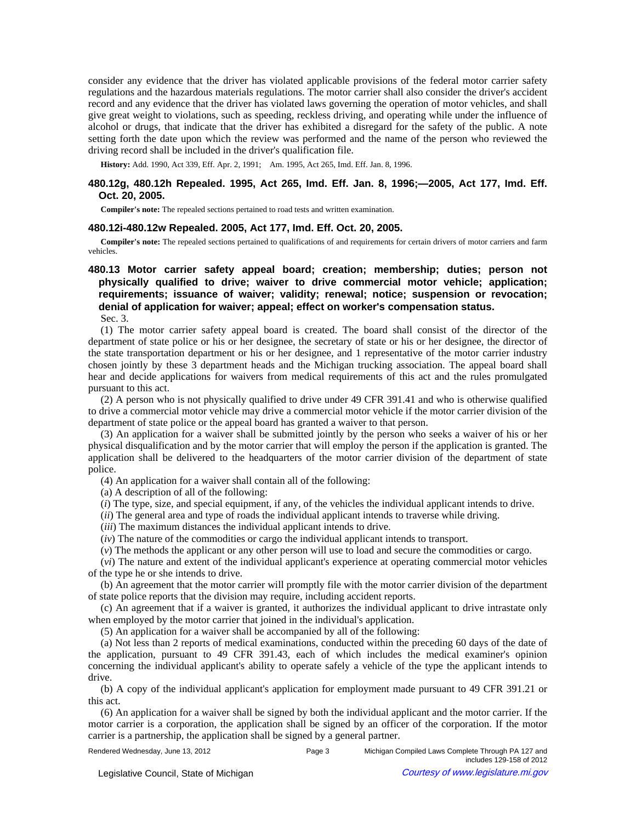consider any evidence that the driver has violated applicable provisions of the federal motor carrier safety regulations and the hazardous materials regulations. The motor carrier shall also consider the driver's accident record and any evidence that the driver has violated laws governing the operation of motor vehicles, and shall give great weight to violations, such as speeding, reckless driving, and operating while under the influence of alcohol or drugs, that indicate that the driver has exhibited a disregard for the safety of the public. A note setting forth the date upon which the review was performed and the name of the person who reviewed the driving record shall be included in the driver's qualification file.

History: Add. 1990, Act 339, Eff. Apr. 2, 1991;-- Am. 1995, Act 265, Imd. Eff. Jan. 8, 1996.

# **480.12g, 480.12h Repealed. 1995, Act 265, Imd. Eff. Jan. 8, 1996;—2005, Act 177, Imd. Eff. Oct. 20, 2005.**

**Compiler's note:** The repealed sections pertained to road tests and written examination.

## **480.12i-480.12w Repealed. 2005, Act 177, Imd. Eff. Oct. 20, 2005.**

**Compiler's note:** The repealed sections pertained to qualifications of and requirements for certain drivers of motor carriers and farm vehicles.

# **480.13 Motor carrier safety appeal board; creation; membership; duties; person not physically qualified to drive; waiver to drive commercial motor vehicle; application; requirements; issuance of waiver; validity; renewal; notice; suspension or revocation; denial of application for waiver; appeal; effect on worker's compensation status.** Sec. 3.

(1) The motor carrier safety appeal board is created. The board shall consist of the director of the department of state police or his or her designee, the secretary of state or his or her designee, the director of the state transportation department or his or her designee, and 1 representative of the motor carrier industry chosen jointly by these 3 department heads and the Michigan trucking association. The appeal board shall hear and decide applications for waivers from medical requirements of this act and the rules promulgated pursuant to this act.

(2) A person who is not physically qualified to drive under 49 CFR 391.41 and who is otherwise qualified to drive a commercial motor vehicle may drive a commercial motor vehicle if the motor carrier division of the department of state police or the appeal board has granted a waiver to that person.

(3) An application for a waiver shall be submitted jointly by the person who seeks a waiver of his or her physical disqualification and by the motor carrier that will employ the person if the application is granted. The application shall be delivered to the headquarters of the motor carrier division of the department of state police.

(4) An application for a waiver shall contain all of the following:

(a) A description of all of the following:

(*i*) The type, size, and special equipment, if any, of the vehicles the individual applicant intends to drive.

(*ii*) The general area and type of roads the individual applicant intends to traverse while driving.

(*iii*) The maximum distances the individual applicant intends to drive.

(*iv*) The nature of the commodities or cargo the individual applicant intends to transport.

(*v*) The methods the applicant or any other person will use to load and secure the commodities or cargo.

(*vi*) The nature and extent of the individual applicant's experience at operating commercial motor vehicles of the type he or she intends to drive.

(b) An agreement that the motor carrier will promptly file with the motor carrier division of the department of state police reports that the division may require, including accident reports.

(c) An agreement that if a waiver is granted, it authorizes the individual applicant to drive intrastate only when employed by the motor carrier that joined in the individual's application.

(5) An application for a waiver shall be accompanied by all of the following:

(a) Not less than 2 reports of medical examinations, conducted within the preceding 60 days of the date of the application, pursuant to 49 CFR 391.43, each of which includes the medical examiner's opinion concerning the individual applicant's ability to operate safely a vehicle of the type the applicant intends to drive.

(b) A copy of the individual applicant's application for employment made pursuant to 49 CFR 391.21 or this act.

(6) An application for a waiver shall be signed by both the individual applicant and the motor carrier. If the motor carrier is a corporation, the application shall be signed by an officer of the corporation. If the motor carrier is a partnership, the application shall be signed by a general partner.

| Rendered Wednesday, June 13, 2012 |  |  |  |
|-----------------------------------|--|--|--|
|-----------------------------------|--|--|--|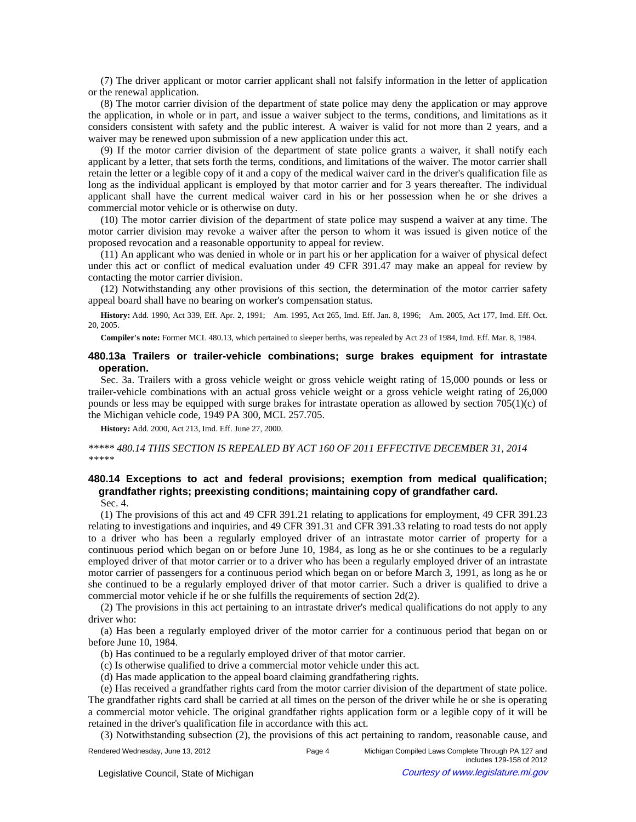(7) The driver applicant or motor carrier applicant shall not falsify information in the letter of application or the renewal application.

(8) The motor carrier division of the department of state police may deny the application or may approve the application, in whole or in part, and issue a waiver subject to the terms, conditions, and limitations as it considers consistent with safety and the public interest. A waiver is valid for not more than 2 years, and a waiver may be renewed upon submission of a new application under this act.

(9) If the motor carrier division of the department of state police grants a waiver, it shall notify each applicant by a letter, that sets forth the terms, conditions, and limitations of the waiver. The motor carrier shall retain the letter or a legible copy of it and a copy of the medical waiver card in the driver's qualification file as long as the individual applicant is employed by that motor carrier and for 3 years thereafter. The individual applicant shall have the current medical waiver card in his or her possession when he or she drives a commercial motor vehicle or is otherwise on duty.

(10) The motor carrier division of the department of state police may suspend a waiver at any time. The motor carrier division may revoke a waiver after the person to whom it was issued is given notice of the proposed revocation and a reasonable opportunity to appeal for review.

(11) An applicant who was denied in whole or in part his or her application for a waiver of physical defect under this act or conflict of medical evaluation under 49 CFR 391.47 may make an appeal for review by contacting the motor carrier division.

(12) Notwithstanding any other provisions of this section, the determination of the motor carrier safety appeal board shall have no bearing on worker's compensation status.

History: Add. 1990, Act 339, Eff. Apr. 2, 1991;
- Am. 1995, Act 265, Imd. Eff. Jan. 8, 1996;
- Am. 2005, Act 177, Imd. Eff. Oct. 20, 2005.

**Compiler's note:** Former MCL 480.13, which pertained to sleeper berths, was repealed by Act 23 of 1984, Imd. Eff. Mar. 8, 1984.

## **480.13a Trailers or trailer-vehicle combinations; surge brakes equipment for intrastate operation.**

Sec. 3a. Trailers with a gross vehicle weight or gross vehicle weight rating of 15,000 pounds or less or trailer-vehicle combinations with an actual gross vehicle weight or a gross vehicle weight rating of 26,000 pounds or less may be equipped with surge brakes for intrastate operation as allowed by section 705(1)(c) of the Michigan vehicle code, 1949 PA 300, MCL 257.705.

**History:** Add. 2000, Act 213, Imd. Eff. June 27, 2000.

*\*\*\*\*\* 480.14 THIS SECTION IS REPEALED BY ACT 160 OF 2011 EFFECTIVE DECEMBER 31, 2014 \*\*\*\*\** 

# **480.14 Exceptions to act and federal provisions; exemption from medical qualification; grandfather rights; preexisting conditions; maintaining copy of grandfather card.**

Sec. 4.

(1) The provisions of this act and 49 CFR 391.21 relating to applications for employment, 49 CFR 391.23 relating to investigations and inquiries, and 49 CFR 391.31 and CFR 391.33 relating to road tests do not apply to a driver who has been a regularly employed driver of an intrastate motor carrier of property for a continuous period which began on or before June 10, 1984, as long as he or she continues to be a regularly employed driver of that motor carrier or to a driver who has been a regularly employed driver of an intrastate motor carrier of passengers for a continuous period which began on or before March 3, 1991, as long as he or she continued to be a regularly employed driver of that motor carrier. Such a driver is qualified to drive a commercial motor vehicle if he or she fulfills the requirements of section 2d(2).

(2) The provisions in this act pertaining to an intrastate driver's medical qualifications do not apply to any driver who:

(a) Has been a regularly employed driver of the motor carrier for a continuous period that began on or before June 10, 1984.

(b) Has continued to be a regularly employed driver of that motor carrier.

(c) Is otherwise qualified to drive a commercial motor vehicle under this act.

(d) Has made application to the appeal board claiming grandfathering rights.

(e) Has received a grandfather rights card from the motor carrier division of the department of state police. The grandfather rights card shall be carried at all times on the person of the driver while he or she is operating a commercial motor vehicle. The original grandfather rights application form or a legible copy of it will be retained in the driver's qualification file in accordance with this act.

(3) Notwithstanding subsection (2), the provisions of this act pertaining to random, reasonable cause, and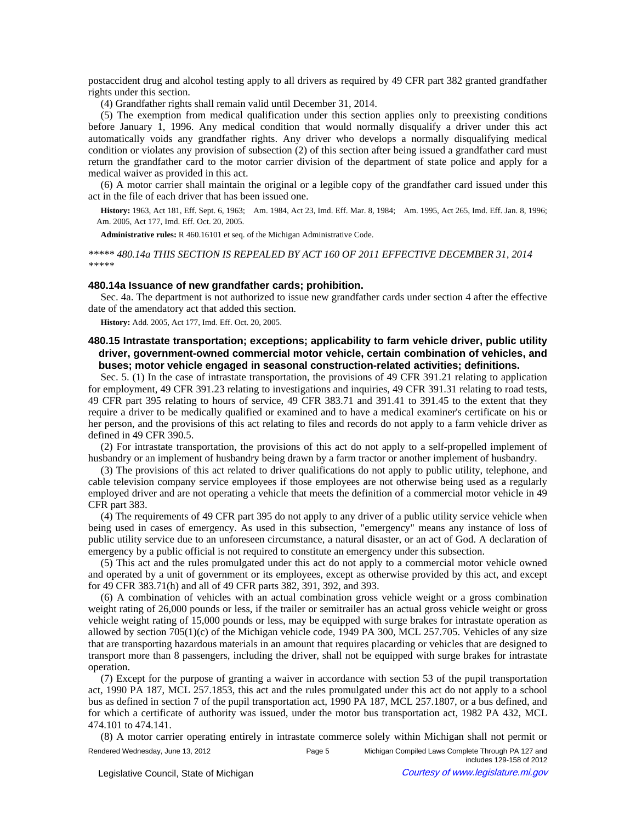postaccident drug and alcohol testing apply to all drivers as required by 49 CFR part 382 granted grandfather rights under this section.

(4) Grandfather rights shall remain valid until December 31, 2014.

(5) The exemption from medical qualification under this section applies only to preexisting conditions before January 1, 1996. Any medical condition that would normally disqualify a driver under this act automatically voids any grandfather rights. Any driver who develops a normally disqualifying medical condition or violates any provision of subsection (2) of this section after being issued a grandfather card must return the grandfather card to the motor carrier division of the department of state police and apply for a medical waiver as provided in this act.

(6) A motor carrier shall maintain the original or a legible copy of the grandfather card issued under this act in the file of each driver that has been issued one.

History: 1963, Act 181, Eff. Sept. 6, 1963;—Am. 1984, Act 23, Imd. Eff. Mar. 8, 1984;—Am. 1995, Act 265, Imd. Eff. Jan. 8, 1996; Am. 2005, Act 177, Imd. Eff. Oct. 20, 2005.

**Administrative rules:** R 460.16101 et seq. of the Michigan Administrative Code.

*\*\*\*\*\* 480.14a THIS SECTION IS REPEALED BY ACT 160 OF 2011 EFFECTIVE DECEMBER 31, 2014 \*\*\*\*\** 

### **480.14a Issuance of new grandfather cards; prohibition.**

Sec. 4a. The department is not authorized to issue new grandfather cards under section 4 after the effective date of the amendatory act that added this section.

**History:** Add. 2005, Act 177, Imd. Eff. Oct. 20, 2005.

# **480.15 Intrastate transportation; exceptions; applicability to farm vehicle driver, public utility driver, government-owned commercial motor vehicle, certain combination of vehicles, and buses; motor vehicle engaged in seasonal construction-related activities; definitions.**

Sec. 5. (1) In the case of intrastate transportation, the provisions of 49 CFR 391.21 relating to application for employment, 49 CFR 391.23 relating to investigations and inquiries, 49 CFR 391.31 relating to road tests, 49 CFR part 395 relating to hours of service, 49 CFR 383.71 and 391.41 to 391.45 to the extent that they require a driver to be medically qualified or examined and to have a medical examiner's certificate on his or her person, and the provisions of this act relating to files and records do not apply to a farm vehicle driver as defined in 49 CFR 390.5.

(2) For intrastate transportation, the provisions of this act do not apply to a self-propelled implement of husbandry or an implement of husbandry being drawn by a farm tractor or another implement of husbandry.

(3) The provisions of this act related to driver qualifications do not apply to public utility, telephone, and cable television company service employees if those employees are not otherwise being used as a regularly employed driver and are not operating a vehicle that meets the definition of a commercial motor vehicle in 49 CFR part 383.

(4) The requirements of 49 CFR part 395 do not apply to any driver of a public utility service vehicle when being used in cases of emergency. As used in this subsection, "emergency" means any instance of loss of public utility service due to an unforeseen circumstance, a natural disaster, or an act of God. A declaration of emergency by a public official is not required to constitute an emergency under this subsection.

(5) This act and the rules promulgated under this act do not apply to a commercial motor vehicle owned and operated by a unit of government or its employees, except as otherwise provided by this act, and except for 49 CFR 383.71(h) and all of 49 CFR parts 382, 391, 392, and 393.

(6) A combination of vehicles with an actual combination gross vehicle weight or a gross combination weight rating of 26,000 pounds or less, if the trailer or semitrailer has an actual gross vehicle weight or gross vehicle weight rating of 15,000 pounds or less, may be equipped with surge brakes for intrastate operation as allowed by section  $705(1)(c)$  of the Michigan vehicle code, 1949 PA 300, MCL 257.705. Vehicles of any size that are transporting hazardous materials in an amount that requires placarding or vehicles that are designed to transport more than 8 passengers, including the driver, shall not be equipped with surge brakes for intrastate operation.

(7) Except for the purpose of granting a waiver in accordance with section 53 of the pupil transportation act, 1990 PA 187, MCL 257.1853, this act and the rules promulgated under this act do not apply to a school bus as defined in section 7 of the pupil transportation act, 1990 PA 187, MCL 257.1807, or a bus defined, and for which a certificate of authority was issued, under the motor bus transportation act, 1982 PA 432, MCL 474.101 to 474.141.

(8) A motor carrier operating entirely in intrastate commerce solely within Michigan shall not permit or Rendered Wednesday, June 13, 2012 Page 5 Michigan Compiled Laws Complete Through PA 127 and includes 129-158 of 2012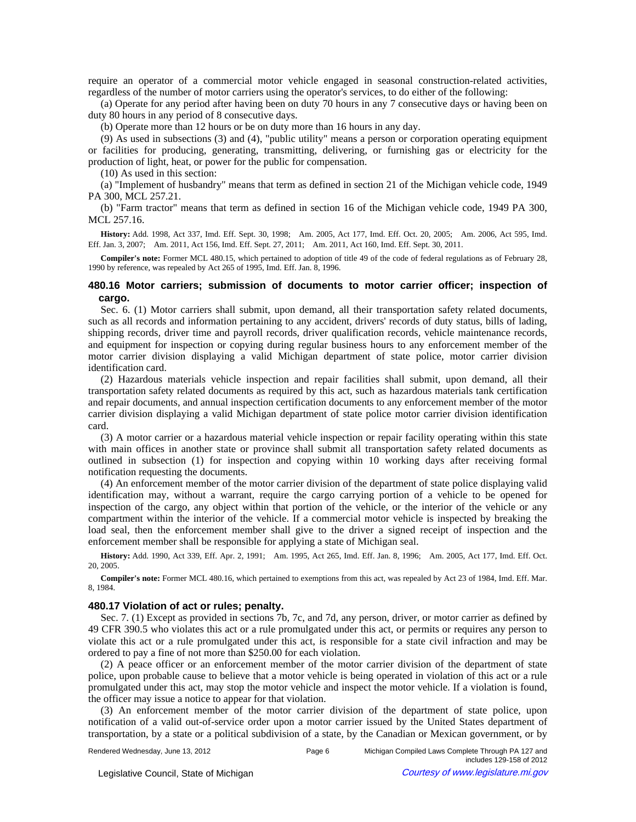require an operator of a commercial motor vehicle engaged in seasonal construction-related activities, regardless of the number of motor carriers using the operator's services, to do either of the following:

(a) Operate for any period after having been on duty 70 hours in any 7 consecutive days or having been on duty 80 hours in any period of 8 consecutive days.

(b) Operate more than 12 hours or be on duty more than 16 hours in any day.

(9) As used in subsections (3) and (4), "public utility" means a person or corporation operating equipment or facilities for producing, generating, transmitting, delivering, or furnishing gas or electricity for the production of light, heat, or power for the public for compensation.

(10) As used in this section:

(a) "Implement of husbandry" means that term as defined in section 21 of the Michigan vehicle code, 1949 PA 300, MCL 257.21.

(b) "Farm tractor" means that term as defined in section 16 of the Michigan vehicle code, 1949 PA 300, MCL 257.16.

History: Add. 1998, Act 337, Imd. Eff. Sept. 30, 1998;--Am. 2005, Act 177, Imd. Eff. Oct. 20, 2005;--Am. 2006, Act 595, Imd. Eff. Jan. 3, 2007;--Am. 2011, Act 156, Imd. Eff. Sept. 27, 2011;--Am. 2011, Act 160, Imd. Eff. Sept. 30, 2011.

**Compiler's note:** Former MCL 480.15, which pertained to adoption of title 49 of the code of federal regulations as of February 28, 1990 by reference, was repealed by Act 265 of 1995, Imd. Eff. Jan. 8, 1996.

## **480.16 Motor carriers; submission of documents to motor carrier officer; inspection of cargo.**

Sec. 6. (1) Motor carriers shall submit, upon demand, all their transportation safety related documents, such as all records and information pertaining to any accident, drivers' records of duty status, bills of lading, shipping records, driver time and payroll records, driver qualification records, vehicle maintenance records, and equipment for inspection or copying during regular business hours to any enforcement member of the motor carrier division displaying a valid Michigan department of state police, motor carrier division identification card.

(2) Hazardous materials vehicle inspection and repair facilities shall submit, upon demand, all their transportation safety related documents as required by this act, such as hazardous materials tank certification and repair documents, and annual inspection certification documents to any enforcement member of the motor carrier division displaying a valid Michigan department of state police motor carrier division identification card.

(3) A motor carrier or a hazardous material vehicle inspection or repair facility operating within this state with main offices in another state or province shall submit all transportation safety related documents as outlined in subsection (1) for inspection and copying within 10 working days after receiving formal notification requesting the documents.

(4) An enforcement member of the motor carrier division of the department of state police displaying valid identification may, without a warrant, require the cargo carrying portion of a vehicle to be opened for inspection of the cargo, any object within that portion of the vehicle, or the interior of the vehicle or any compartment within the interior of the vehicle. If a commercial motor vehicle is inspected by breaking the load seal, then the enforcement member shall give to the driver a signed receipt of inspection and the enforcement member shall be responsible for applying a state of Michigan seal.

History: Add. 1990, Act 339, Eff. Apr. 2, 1991;--Am. 1995, Act 265, Imd. Eff. Jan. 8, 1996;--Am. 2005, Act 177, Imd. Eff. Oct. 20, 2005.

**Compiler's note:** Former MCL 480.16, which pertained to exemptions from this act, was repealed by Act 23 of 1984, Imd. Eff. Mar. 8, 1984.

### **480.17 Violation of act or rules; penalty.**

Sec. 7. (1) Except as provided in sections 7b, 7c, and 7d, any person, driver, or motor carrier as defined by 49 CFR 390.5 who violates this act or a rule promulgated under this act, or permits or requires any person to violate this act or a rule promulgated under this act, is responsible for a state civil infraction and may be ordered to pay a fine of not more than \$250.00 for each violation.

(2) A peace officer or an enforcement member of the motor carrier division of the department of state police, upon probable cause to believe that a motor vehicle is being operated in violation of this act or a rule promulgated under this act, may stop the motor vehicle and inspect the motor vehicle. If a violation is found, the officer may issue a notice to appear for that violation.

(3) An enforcement member of the motor carrier division of the department of state police, upon notification of a valid out-of-service order upon a motor carrier issued by the United States department of transportation, by a state or a political subdivision of a state, by the Canadian or Mexican government, or by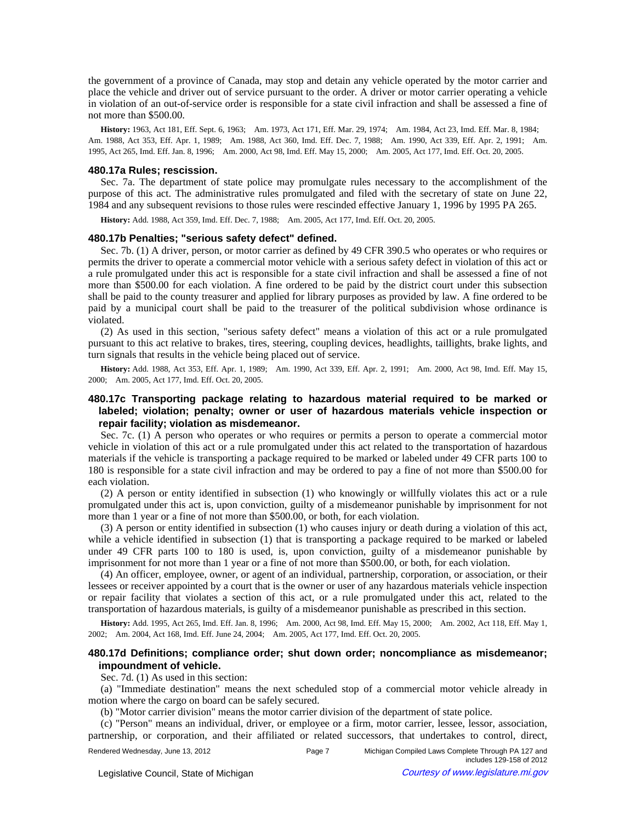the government of a province of Canada, may stop and detain any vehicle operated by the motor carrier and place the vehicle and driver out of service pursuant to the order. A driver or motor carrier operating a vehicle in violation of an out-of-service order is responsible for a state civil infraction and shall be assessed a fine of not more than \$500.00.

History: 1963, Act 181, Eff. Sept. 6, 1963;—Am. 1973, Act 171, Eff. Mar. 29, 1974;—Am. 1984, Act 23, Imd. Eff. Mar. 8, 1984;— Am. 1988, Act 353, Eff. Apr. 1, 1989;—Am. 1988, Act 360, Imd. Eff. Dec. 7, 1988;—Am. 1990, Act 339, Eff. Apr. 2, 1991;—Am. 1995, Act 265, Imd. Eff. Jan. 8, 1996;—Am. 2000, Act 98, Imd. Eff. May 15, 2000;—Am. 2005, Act 177, Imd. Eff. Oct. 20, 2005.

#### **480.17a Rules; rescission.**

Sec. 7a. The department of state police may promulgate rules necessary to the accomplishment of the purpose of this act. The administrative rules promulgated and filed with the secretary of state on June 22, 1984 and any subsequent revisions to those rules were rescinded effective January 1, 1996 by 1995 PA 265.

History: Add. 1988, Act 359, Imd. Eff. Dec. 7, 1988;-- Am. 2005, Act 177, Imd. Eff. Oct. 20, 2005.

### **480.17b Penalties; "serious safety defect" defined.**

Sec. 7b. (1) A driver, person, or motor carrier as defined by 49 CFR 390.5 who operates or who requires or permits the driver to operate a commercial motor vehicle with a serious safety defect in violation of this act or a rule promulgated under this act is responsible for a state civil infraction and shall be assessed a fine of not more than \$500.00 for each violation. A fine ordered to be paid by the district court under this subsection shall be paid to the county treasurer and applied for library purposes as provided by law. A fine ordered to be paid by a municipal court shall be paid to the treasurer of the political subdivision whose ordinance is violated.

(2) As used in this section, "serious safety defect" means a violation of this act or a rule promulgated pursuant to this act relative to brakes, tires, steering, coupling devices, headlights, taillights, brake lights, and turn signals that results in the vehicle being placed out of service.

History: Add. 1988, Act 353, Eff. Apr. 1, 1989;-Am. 1990, Act 339, Eff. Apr. 2, 1991;-Am. 2000, Act 98, Imd. Eff. May 15, 2000;—Am. 2005, Act 177, Imd. Eff. Oct. 20, 2005.

# **480.17c Transporting package relating to hazardous material required to be marked or labeled; violation; penalty; owner or user of hazardous materials vehicle inspection or repair facility; violation as misdemeanor.**

Sec. 7c. (1) A person who operates or who requires or permits a person to operate a commercial motor vehicle in violation of this act or a rule promulgated under this act related to the transportation of hazardous materials if the vehicle is transporting a package required to be marked or labeled under 49 CFR parts 100 to 180 is responsible for a state civil infraction and may be ordered to pay a fine of not more than \$500.00 for each violation.

(2) A person or entity identified in subsection (1) who knowingly or willfully violates this act or a rule promulgated under this act is, upon conviction, guilty of a misdemeanor punishable by imprisonment for not more than 1 year or a fine of not more than \$500.00, or both, for each violation.

(3) A person or entity identified in subsection (1) who causes injury or death during a violation of this act, while a vehicle identified in subsection (1) that is transporting a package required to be marked or labeled under 49 CFR parts 100 to 180 is used, is, upon conviction, guilty of a misdemeanor punishable by imprisonment for not more than 1 year or a fine of not more than \$500.00, or both, for each violation.

(4) An officer, employee, owner, or agent of an individual, partnership, corporation, or association, or their lessees or receiver appointed by a court that is the owner or user of any hazardous materials vehicle inspection or repair facility that violates a section of this act, or a rule promulgated under this act, related to the transportation of hazardous materials, is guilty of a misdemeanor punishable as prescribed in this section.

History: Add. 1995, Act 265, Imd. Eff. Jan. 8, 1996;-Am. 2000, Act 98, Imd. Eff. May 15, 2000;-Am. 2002, Act 118, Eff. May 1, 2002; Am. 2004, Act 168, Imd. Eff. June 24, 2004; Am. 2005, Act 177, Imd. Eff. Oct. 20, 2005.

## **480.17d Definitions; compliance order; shut down order; noncompliance as misdemeanor; impoundment of vehicle.**

#### Sec. 7d. (1) As used in this section:

(a) "Immediate destination" means the next scheduled stop of a commercial motor vehicle already in motion where the cargo on board can be safely secured.

(b) "Motor carrier division" means the motor carrier division of the department of state police.

(c) "Person" means an individual, driver, or employee or a firm, motor carrier, lessee, lessor, association, partnership, or corporation, and their affiliated or related successors, that undertakes to control, direct,

Rendered Wednesday, June 13, 2012 Page 7 Michigan Compiled Laws Complete Through PA 127 and includes 129-158 of 2012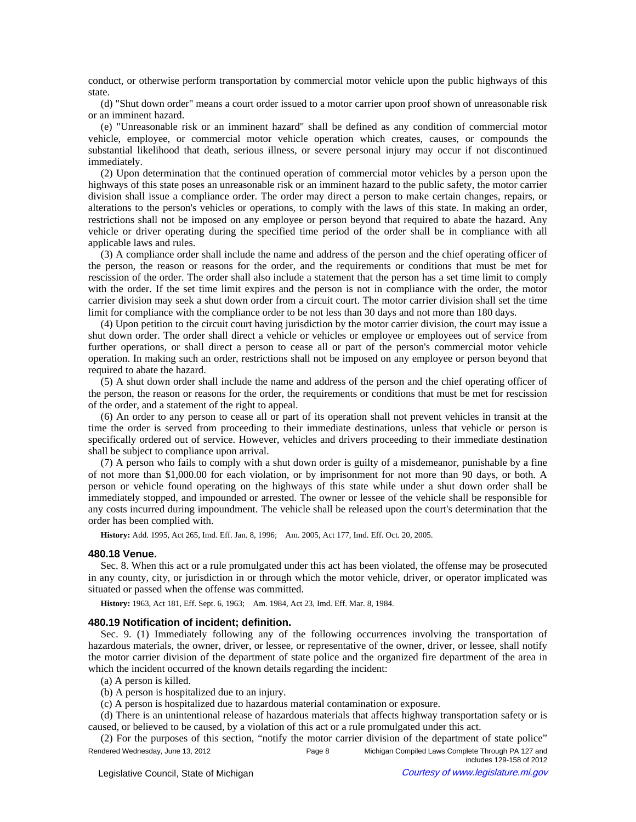conduct, or otherwise perform transportation by commercial motor vehicle upon the public highways of this state.

(d) "Shut down order" means a court order issued to a motor carrier upon proof shown of unreasonable risk or an imminent hazard.

(e) "Unreasonable risk or an imminent hazard" shall be defined as any condition of commercial motor vehicle, employee, or commercial motor vehicle operation which creates, causes, or compounds the substantial likelihood that death, serious illness, or severe personal injury may occur if not discontinued immediately.

(2) Upon determination that the continued operation of commercial motor vehicles by a person upon the highways of this state poses an unreasonable risk or an imminent hazard to the public safety, the motor carrier division shall issue a compliance order. The order may direct a person to make certain changes, repairs, or alterations to the person's vehicles or operations, to comply with the laws of this state. In making an order, restrictions shall not be imposed on any employee or person beyond that required to abate the hazard. Any vehicle or driver operating during the specified time period of the order shall be in compliance with all applicable laws and rules.

(3) A compliance order shall include the name and address of the person and the chief operating officer of the person, the reason or reasons for the order, and the requirements or conditions that must be met for rescission of the order. The order shall also include a statement that the person has a set time limit to comply with the order. If the set time limit expires and the person is not in compliance with the order, the motor carrier division may seek a shut down order from a circuit court. The motor carrier division shall set the time limit for compliance with the compliance order to be not less than 30 days and not more than 180 days.

(4) Upon petition to the circuit court having jurisdiction by the motor carrier division, the court may issue a shut down order. The order shall direct a vehicle or vehicles or employee or employees out of service from further operations, or shall direct a person to cease all or part of the person's commercial motor vehicle operation. In making such an order, restrictions shall not be imposed on any employee or person beyond that required to abate the hazard.

(5) A shut down order shall include the name and address of the person and the chief operating officer of the person, the reason or reasons for the order, the requirements or conditions that must be met for rescission of the order, and a statement of the right to appeal.

(6) An order to any person to cease all or part of its operation shall not prevent vehicles in transit at the time the order is served from proceeding to their immediate destinations, unless that vehicle or person is specifically ordered out of service. However, vehicles and drivers proceeding to their immediate destination shall be subject to compliance upon arrival.

(7) A person who fails to comply with a shut down order is guilty of a misdemeanor, punishable by a fine of not more than \$1,000.00 for each violation, or by imprisonment for not more than 90 days, or both. A person or vehicle found operating on the highways of this state while under a shut down order shall be immediately stopped, and impounded or arrested. The owner or lessee of the vehicle shall be responsible for any costs incurred during impoundment. The vehicle shall be released upon the court's determination that the order has been complied with.

History: Add. 1995, Act 265, Imd. Eff. Jan. 8, 1996;—Am. 2005, Act 177, Imd. Eff. Oct. 20, 2005.

# **480.18 Venue.**

Sec. 8. When this act or a rule promulgated under this act has been violated, the offense may be prosecuted in any county, city, or jurisdiction in or through which the motor vehicle, driver, or operator implicated was situated or passed when the offense was committed.

History: 1963, Act 181, Eff. Sept. 6, 1963;-Am. 1984, Act 23, Imd. Eff. Mar. 8, 1984.

## **480.19 Notification of incident; definition.**

Sec. 9. (1) Immediately following any of the following occurrences involving the transportation of hazardous materials, the owner, driver, or lessee, or representative of the owner, driver, or lessee, shall notify the motor carrier division of the department of state police and the organized fire department of the area in which the incident occurred of the known details regarding the incident:

(a) A person is killed.

(b) A person is hospitalized due to an injury.

(c) A person is hospitalized due to hazardous material contamination or exposure.

(d) There is an unintentional release of hazardous materials that affects highway transportation safety or is caused, or believed to be caused, by a violation of this act or a rule promulgated under this act.

(2) For the purposes of this section, "notify the motor carrier division of the department of state police" Rendered Wednesday, June 13, 2012 **Page 8** Michigan Compiled Laws Complete Through PA 127 and includes 129-158 of 2012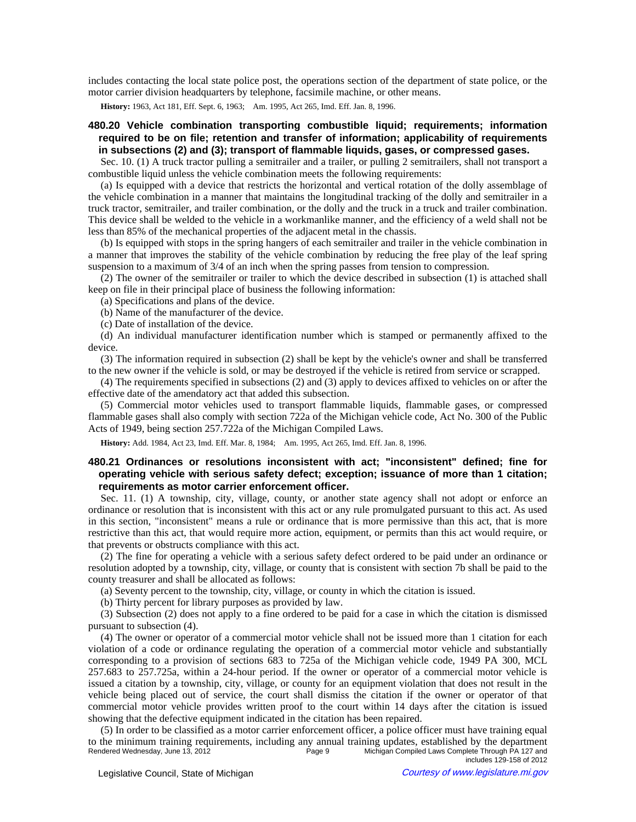includes contacting the local state police post, the operations section of the department of state police, or the motor carrier division headquarters by telephone, facsimile machine, or other means.

History: 1963, Act 181, Eff. Sept. 6, 1963;-Am. 1995, Act 265, Imd. Eff. Jan. 8, 1996.

# **480.20 Vehicle combination transporting combustible liquid; requirements; information required to be on file; retention and transfer of information; applicability of requirements in subsections (2) and (3); transport of flammable liquids, gases, or compressed gases.**

Sec. 10. (1) A truck tractor pulling a semitrailer and a trailer, or pulling 2 semitrailers, shall not transport a combustible liquid unless the vehicle combination meets the following requirements:

(a) Is equipped with a device that restricts the horizontal and vertical rotation of the dolly assemblage of the vehicle combination in a manner that maintains the longitudinal tracking of the dolly and semitrailer in a truck tractor, semitrailer, and trailer combination, or the dolly and the truck in a truck and trailer combination. This device shall be welded to the vehicle in a workmanlike manner, and the efficiency of a weld shall not be less than 85% of the mechanical properties of the adjacent metal in the chassis.

(b) Is equipped with stops in the spring hangers of each semitrailer and trailer in the vehicle combination in a manner that improves the stability of the vehicle combination by reducing the free play of the leaf spring suspension to a maximum of  $3/4$  of an inch when the spring passes from tension to compression.

(2) The owner of the semitrailer or trailer to which the device described in subsection (1) is attached shall keep on file in their principal place of business the following information:

(a) Specifications and plans of the device.

(b) Name of the manufacturer of the device.

(c) Date of installation of the device.

(d) An individual manufacturer identification number which is stamped or permanently affixed to the device.

(3) The information required in subsection (2) shall be kept by the vehicle's owner and shall be transferred to the new owner if the vehicle is sold, or may be destroyed if the vehicle is retired from service or scrapped.

(4) The requirements specified in subsections (2) and (3) apply to devices affixed to vehicles on or after the effective date of the amendatory act that added this subsection.

(5) Commercial motor vehicles used to transport flammable liquids, flammable gases, or compressed flammable gases shall also comply with section 722a of the Michigan vehicle code, Act No. 300 of the Public Acts of 1949, being section 257.722a of the Michigan Compiled Laws.

**History:** Add. 1984, Act 23, Imd. Eff. Mar. 8, 1984;—Am. 1995, Act 265, Imd. Eff. Jan. 8, 1996.

# **480.21 Ordinances or resolutions inconsistent with act; "inconsistent" defined; fine for operating vehicle with serious safety defect; exception; issuance of more than 1 citation; requirements as motor carrier enforcement officer.**

Sec. 11. (1) A township, city, village, county, or another state agency shall not adopt or enforce an ordinance or resolution that is inconsistent with this act or any rule promulgated pursuant to this act. As used in this section, "inconsistent" means a rule or ordinance that is more permissive than this act, that is more restrictive than this act, that would require more action, equipment, or permits than this act would require, or that prevents or obstructs compliance with this act.

(2) The fine for operating a vehicle with a serious safety defect ordered to be paid under an ordinance or resolution adopted by a township, city, village, or county that is consistent with section 7b shall be paid to the county treasurer and shall be allocated as follows:

(a) Seventy percent to the township, city, village, or county in which the citation is issued.

(b) Thirty percent for library purposes as provided by law.

(3) Subsection (2) does not apply to a fine ordered to be paid for a case in which the citation is dismissed pursuant to subsection (4).

(4) The owner or operator of a commercial motor vehicle shall not be issued more than 1 citation for each violation of a code or ordinance regulating the operation of a commercial motor vehicle and substantially corresponding to a provision of sections 683 to 725a of the Michigan vehicle code, 1949 PA 300, MCL 257.683 to 257.725a, within a 24-hour period. If the owner or operator of a commercial motor vehicle is issued a citation by a township, city, village, or county for an equipment violation that does not result in the vehicle being placed out of service, the court shall dismiss the citation if the owner or operator of that commercial motor vehicle provides written proof to the court within 14 days after the citation is issued showing that the defective equipment indicated in the citation has been repaired.

(5) In order to be classified as a motor carrier enforcement officer, a police officer must have training equal to the minimum training requirements, including any annual training updates, established by the department<br>Page 9 Michigan Compiled Laws Complete Through PA 127 and Rendered Wednesday, June 13, 2012 Page 9 Michigan Compiled Laws Complete Through PA 127 and includes 129-158 of 2012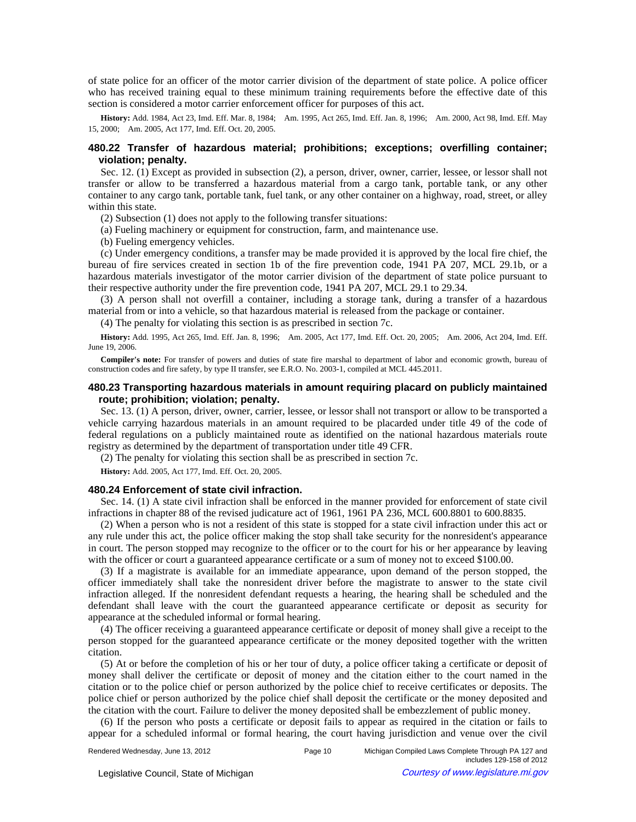of state police for an officer of the motor carrier division of the department of state police. A police officer who has received training equal to these minimum training requirements before the effective date of this section is considered a motor carrier enforcement officer for purposes of this act.

History: Add. 1984, Act 23, Imd. Eff. Mar. 8, 1984;-Am. 1995, Act 265, Imd. Eff. Jan. 8, 1996;-Am. 2000, Act 98, Imd. Eff. May 15, 2000; Am. 2005, Act 177, Imd. Eff. Oct. 20, 2005.

# **480.22 Transfer of hazardous material; prohibitions; exceptions; overfilling container; violation; penalty.**

Sec. 12. (1) Except as provided in subsection (2), a person, driver, owner, carrier, lessee, or lessor shall not transfer or allow to be transferred a hazardous material from a cargo tank, portable tank, or any other container to any cargo tank, portable tank, fuel tank, or any other container on a highway, road, street, or alley within this state.

(2) Subsection (1) does not apply to the following transfer situations:

(a) Fueling machinery or equipment for construction, farm, and maintenance use.

(b) Fueling emergency vehicles.

(c) Under emergency conditions, a transfer may be made provided it is approved by the local fire chief, the bureau of fire services created in section 1b of the fire prevention code, 1941 PA 207, MCL 29.1b, or a hazardous materials investigator of the motor carrier division of the department of state police pursuant to their respective authority under the fire prevention code, 1941 PA 207, MCL 29.1 to 29.34.

(3) A person shall not overfill a container, including a storage tank, during a transfer of a hazardous material from or into a vehicle, so that hazardous material is released from the package or container.

(4) The penalty for violating this section is as prescribed in section 7c.

History: Add. 1995, Act 265, Imd. Eff. Jan. 8, 1996;--Am. 2005, Act 177, Imd. Eff. Oct. 20, 2005;--Am. 2006, Act 204, Imd. Eff. June 19, 2006.

**Compiler's note:** For transfer of powers and duties of state fire marshal to department of labor and economic growth, bureau of construction codes and fire safety, by type II transfer, see E.R.O. No. 2003-1, compiled at MCL 445.2011.

# **480.23 Transporting hazardous materials in amount requiring placard on publicly maintained route; prohibition; violation; penalty.**

Sec. 13. (1) A person, driver, owner, carrier, lessee, or lessor shall not transport or allow to be transported a vehicle carrying hazardous materials in an amount required to be placarded under title 49 of the code of federal regulations on a publicly maintained route as identified on the national hazardous materials route registry as determined by the department of transportation under title 49 CFR.

(2) The penalty for violating this section shall be as prescribed in section 7c.

**History:** Add. 2005, Act 177, Imd. Eff. Oct. 20, 2005.

#### **480.24 Enforcement of state civil infraction.**

Sec. 14. (1) A state civil infraction shall be enforced in the manner provided for enforcement of state civil infractions in chapter 88 of the revised judicature act of 1961, 1961 PA 236, MCL 600.8801 to 600.8835.

(2) When a person who is not a resident of this state is stopped for a state civil infraction under this act or any rule under this act, the police officer making the stop shall take security for the nonresident's appearance in court. The person stopped may recognize to the officer or to the court for his or her appearance by leaving with the officer or court a guaranteed appearance certificate or a sum of money not to exceed \$100.00.

(3) If a magistrate is available for an immediate appearance, upon demand of the person stopped, the officer immediately shall take the nonresident driver before the magistrate to answer to the state civil infraction alleged. If the nonresident defendant requests a hearing, the hearing shall be scheduled and the defendant shall leave with the court the guaranteed appearance certificate or deposit as security for appearance at the scheduled informal or formal hearing.

(4) The officer receiving a guaranteed appearance certificate or deposit of money shall give a receipt to the person stopped for the guaranteed appearance certificate or the money deposited together with the written citation.

(5) At or before the completion of his or her tour of duty, a police officer taking a certificate or deposit of money shall deliver the certificate or deposit of money and the citation either to the court named in the citation or to the police chief or person authorized by the police chief to receive certificates or deposits. The police chief or person authorized by the police chief shall deposit the certificate or the money deposited and the citation with the court. Failure to deliver the money deposited shall be embezzlement of public money.

(6) If the person who posts a certificate or deposit fails to appear as required in the citation or fails to appear for a scheduled informal or formal hearing, the court having jurisdiction and venue over the civil